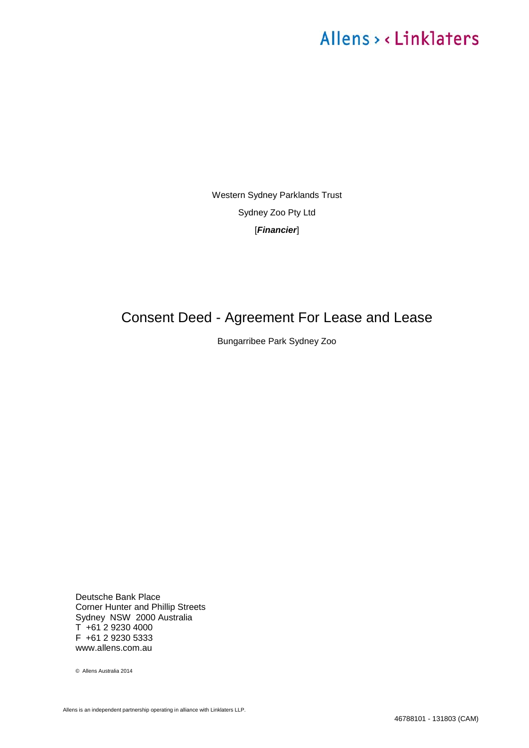Western Sydney Parklands Trust Sydney Zoo Pty Ltd [*Financier*]

# <span id="page-0-1"></span><span id="page-0-0"></span>Consent Deed - Agreement For Lease and Lease

Bungarribee Park Sydney Zoo

Deutsche Bank Place Corner Hunter and Phillip Streets Sydney NSW 2000 Australia  $T + 61$  2 9230 4000 F +61 2 9230 5333 www.allens.com.au

© Allens Australia 2014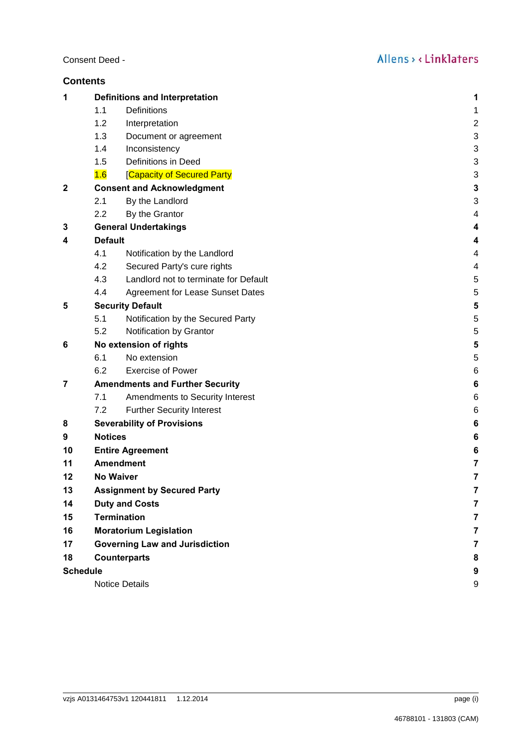| Consent Deed - |  |  |
|----------------|--|--|
|----------------|--|--|

| <b>Contents</b> |                                            |                                        |                |  |
|-----------------|--------------------------------------------|----------------------------------------|----------------|--|
| 1               |                                            | <b>Definitions and Interpretation</b>  | 1              |  |
|                 | 1.1                                        | Definitions                            | 1              |  |
|                 | 1.2                                        | Interpretation                         | $\overline{c}$ |  |
|                 | 1.3                                        | Document or agreement                  | 3              |  |
|                 | 1.4                                        | Inconsistency                          | 3              |  |
|                 | 1.5                                        | Definitions in Deed                    | 3              |  |
|                 | 1.6                                        | [Capacity of Secured Party             | 3              |  |
| $\mathbf{2}$    |                                            | <b>Consent and Acknowledgment</b>      | 3              |  |
|                 | 2.1                                        | By the Landlord                        | 3              |  |
|                 | 2.2                                        | By the Grantor                         | 4              |  |
| 3               | <b>General Undertakings</b>                |                                        |                |  |
| 4               | <b>Default</b>                             |                                        | 4              |  |
|                 | 4.1                                        | Notification by the Landlord           | 4              |  |
|                 | 4.2                                        | Secured Party's cure rights            | 4              |  |
|                 | 4.3                                        | Landlord not to terminate for Default  | 5              |  |
|                 | 4.4                                        | Agreement for Lease Sunset Dates       | 5              |  |
| 5               | <b>Security Default</b>                    |                                        | 5              |  |
|                 | 5.1                                        | Notification by the Secured Party      | 5              |  |
|                 | 5.2                                        | Notification by Grantor                | 5              |  |
| 6               |                                            | No extension of rights                 | 5              |  |
|                 | 6.1                                        | No extension                           | 5              |  |
|                 | 6.2                                        | <b>Exercise of Power</b>               | 6              |  |
| 7               |                                            | <b>Amendments and Further Security</b> | 6              |  |
|                 | 7.1                                        | Amendments to Security Interest        | 6              |  |
|                 | 7.2                                        | <b>Further Security Interest</b>       | 6              |  |
| 8               | <b>Severability of Provisions</b><br>6     |                                        |                |  |
| 9               | <b>Notices</b><br>6                        |                                        |                |  |
| 10              | <b>Entire Agreement</b><br>6               |                                        |                |  |
| 11              | <b>Amendment</b>                           |                                        |                |  |
| 12              | <b>No Waiver</b>                           |                                        | 7              |  |
| 13              | <b>Assignment by Secured Party</b>         |                                        |                |  |
| 14              | <b>Duty and Costs</b>                      |                                        |                |  |
| 15              | <b>Termination</b>                         |                                        |                |  |
| 16              | <b>Moratorium Legislation</b>              |                                        |                |  |
| 17              | <b>Governing Law and Jurisdiction</b><br>7 |                                        |                |  |
| 18              |                                            | <b>Counterparts</b>                    | 8              |  |
| <b>Schedule</b> |                                            |                                        | 9              |  |
|                 | <b>Notice Details</b>                      |                                        |                |  |
|                 |                                            |                                        |                |  |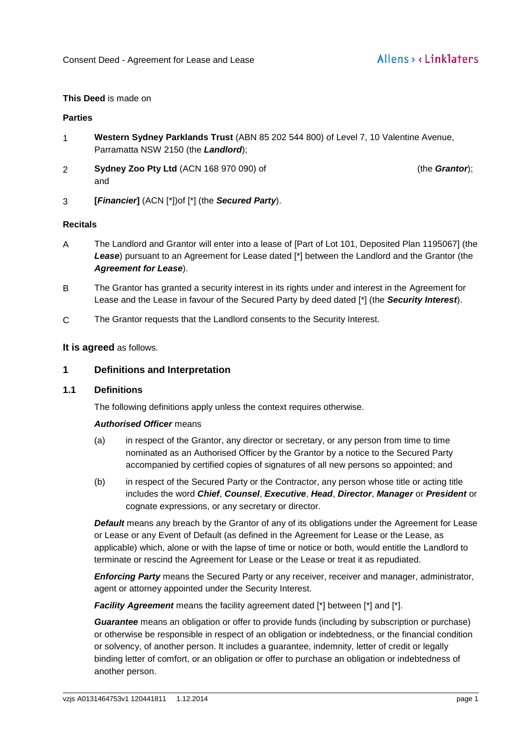#### **This Deed** is made on

#### **Parties**

- 1 **Western Sydney Parklands Trust** (ABN 85 202 544 800) of Level 7, 10 Valentine Avenue, Parramatta NSW 2150 (the *Landlord*);
- 2 **Sydney Zoo Pty Ltd** (ACN 168 970 090) of 3 Wills Avenue, Waverley (the **Grantor**); and

3 **[***Financier***]** (ACN [\*])of [\*] (the *Secured Party*).

#### **Recitals**

- A The Landlord and Grantor will enter into a lease of [Part of Lot 101, Deposited Plan 1195067] (the *Lease*) pursuant to an Agreement for Lease dated [\*] between the Landlord and the Grantor (the *Agreement for Lease*).
- B The Grantor has granted a security interest in its rights under and interest in the Agreement for Lease and the Lease in favour of the Secured Party by deed dated [\*] (the *Security Interest*).
- C The Grantor requests that the Landlord consents to the Security Interest.

#### **It is agreed** as follows.

#### <span id="page-2-0"></span>**1 Definitions and Interpretation**

#### <span id="page-2-1"></span>**1.1 Definitions**

The following definitions apply unless the context requires otherwise.

#### *Authorised Officer* means

- (a) in respect of the Grantor, any director or secretary, or any person from time to time nominated as an Authorised Officer by the Grantor by a notice to the Secured Party accompanied by certified copies of signatures of all new persons so appointed; and
- (b) in respect of the Secured Party or the Contractor, any person whose title or acting title includes the word *Chief*, *Counsel*, *Executive*, *Head*, *Director*, *Manager* or *President* or cognate expressions, or any secretary or director.

*Default* means any breach by the Grantor of any of its obligations under the Agreement for Lease or Lease or any Event of Default (as defined in the Agreement for Lease or the Lease, as applicable) which, alone or with the lapse of time or notice or both, would entitle the Landlord to terminate or rescind the Agreement for Lease or the Lease or treat it as repudiated.

*Enforcing Party* means the Secured Party or any receiver, receiver and manager, administrator, agent or attorney appointed under the Security Interest.

*Facility Agreement* means the facility agreement dated [\*] between [\*] and [\*].

*Guarantee* means an obligation or offer to provide funds (including by subscription or purchase) or otherwise be responsible in respect of an obligation or indebtedness, or the financial condition or solvency, of another person. It includes a guarantee, indemnity, letter of credit or legally binding letter of comfort, or an obligation or offer to purchase an obligation or indebtedness of another person.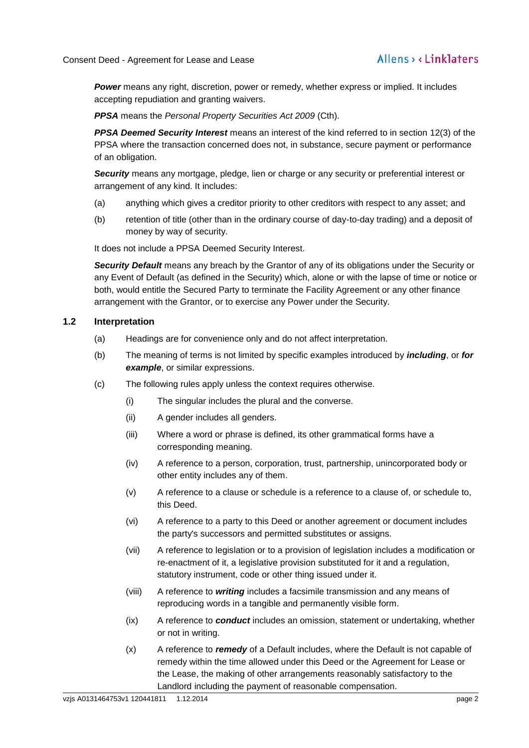*Power* means any right, discretion, power or remedy, whether express or implied. It includes accepting repudiation and granting waivers.

*PPSA* means the *Personal Property Securities Act 2009* (Cth).

*PPSA Deemed Security Interest* means an interest of the kind referred to in section 12(3) of the PPSA where the transaction concerned does not, in substance, secure payment or performance of an obligation.

*Security* means any mortgage, pledge, lien or charge or any security or preferential interest or arrangement of any kind. It includes:

- (a) anything which gives a creditor priority to other creditors with respect to any asset; and
- (b) retention of title (other than in the ordinary course of day-to-day trading) and a deposit of money by way of security.

It does not include a PPSA Deemed Security Interest.

*Security Default* means any breach by the Grantor of any of its obligations under the Security or any Event of Default (as defined in the Security) which, alone or with the lapse of time or notice or both, would entitle the Secured Party to terminate the Facility Agreement or any other finance arrangement with the Grantor, or to exercise any Power under the Security.

#### <span id="page-3-0"></span>**1.2 Interpretation**

- (a) Headings are for convenience only and do not affect interpretation.
- (b) The meaning of terms is not limited by specific examples introduced by *including*, or *for example*, or similar expressions.
- (c) The following rules apply unless the context requires otherwise.
	- (i) The singular includes the plural and the converse.
	- (ii) A gender includes all genders.
	- (iii) Where a word or phrase is defined, its other grammatical forms have a corresponding meaning.
	- (iv) A reference to a person, corporation, trust, partnership, unincorporated body or other entity includes any of them.
	- (v) A reference to a clause or schedule is a reference to a clause of, or schedule to, this Deed.
	- (vi) A reference to a party to this Deed or another agreement or document includes the party's successors and permitted substitutes or assigns.
	- (vii) A reference to legislation or to a provision of legislation includes a modification or re-enactment of it, a legislative provision substituted for it and a regulation, statutory instrument, code or other thing issued under it.
	- (viii) A reference to *writing* includes a facsimile transmission and any means of reproducing words in a tangible and permanently visible form.
	- (ix) A reference to *conduct* includes an omission, statement or undertaking, whether or not in writing.
	- (x) A reference to *remedy* of a Default includes, where the Default is not capable of remedy within the time allowed under this Deed or the Agreement for Lease or the Lease, the making of other arrangements reasonably satisfactory to the Landlord including the payment of reasonable compensation.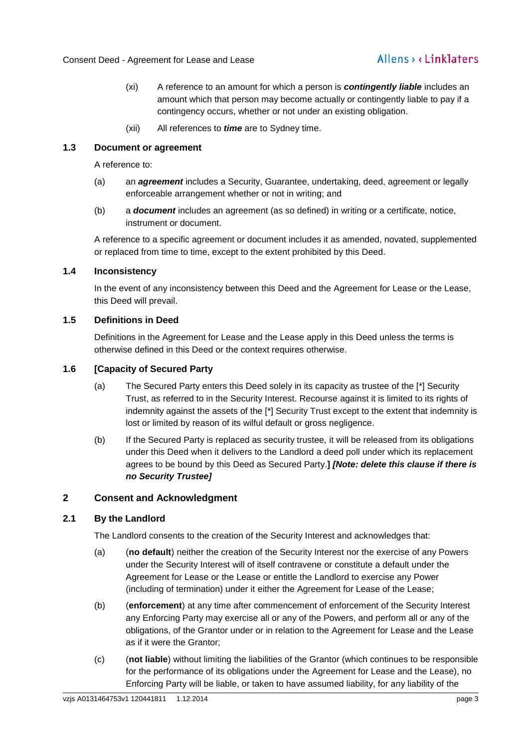## Allens, Linklaters

- (xi) A reference to an amount for which a person is *contingently liable* includes an amount which that person may become actually or contingently liable to pay if a contingency occurs, whether or not under an existing obligation.
- (xii) All references to *time* are to Sydney time.

#### <span id="page-4-0"></span>**1.3 Document or agreement**

A reference to:

- (a) an *agreement* includes a Security, Guarantee, undertaking, deed, agreement or legally enforceable arrangement whether or not in writing; and
- (b) a *document* includes an agreement (as so defined) in writing or a certificate, notice, instrument or document.

A reference to a specific agreement or document includes it as amended, novated, supplemented or replaced from time to time, except to the extent prohibited by this Deed.

#### <span id="page-4-1"></span>**1.4 Inconsistency**

In the event of any inconsistency between this Deed and the Agreement for Lease or the Lease, this Deed will prevail.

#### <span id="page-4-2"></span>**1.5 Definitions in Deed**

Definitions in the Agreement for Lease and the Lease apply in this Deed unless the terms is otherwise defined in this Deed or the context requires otherwise.

#### <span id="page-4-3"></span>**1.6 [Capacity of Secured Party**

- (a) The Secured Party enters this Deed solely in its capacity as trustee of the [\*] Security Trust, as referred to in the Security Interest. Recourse against it is limited to its rights of indemnity against the assets of the [\*] Security Trust except to the extent that indemnity is lost or limited by reason of its wilful default or gross negligence.
- (b) If the Secured Party is replaced as security trustee, it will be released from its obligations under this Deed when it delivers to the Landlord a deed poll under which its replacement agrees to be bound by this Deed as Secured Party.**]** *[Note: delete this clause if there is no Security Trustee]*

#### <span id="page-4-4"></span>**2 Consent and Acknowledgment**

#### <span id="page-4-5"></span>**2.1 By the Landlord**

The Landlord consents to the creation of the Security Interest and acknowledges that:

- (a) (**no default**) neither the creation of the Security Interest nor the exercise of any Powers under the Security Interest will of itself contravene or constitute a default under the Agreement for Lease or the Lease or entitle the Landlord to exercise any Power (including of termination) under it either the Agreement for Lease of the Lease;
- (b) (**enforcement**) at any time after commencement of enforcement of the Security Interest any Enforcing Party may exercise all or any of the Powers, and perform all or any of the obligations, of the Grantor under or in relation to the Agreement for Lease and the Lease as if it were the Grantor;
- (c) (**not liable**) without limiting the liabilities of the Grantor (which continues to be responsible for the performance of its obligations under the Agreement for Lease and the Lease), no Enforcing Party will be liable, or taken to have assumed liability, for any liability of the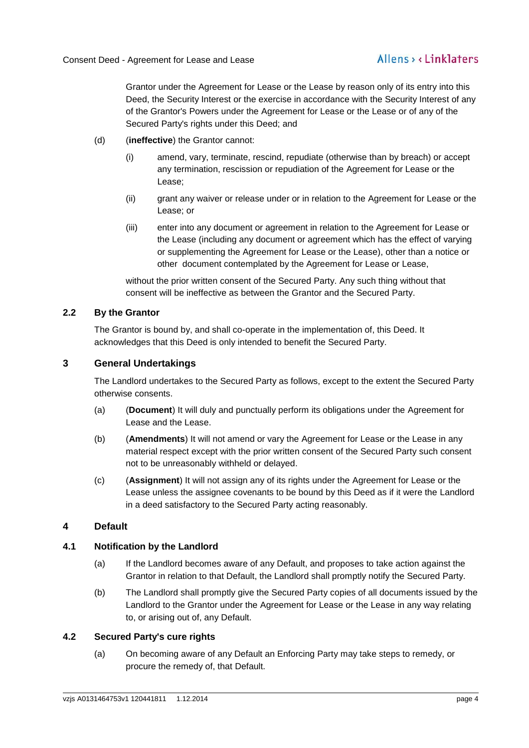Grantor under the Agreement for Lease or the Lease by reason only of its entry into this Deed, the Security Interest or the exercise in accordance with the Security Interest of any of the Grantor's Powers under the Agreement for Lease or the Lease or of any of the Secured Party's rights under this Deed; and

- (d) (**ineffective**) the Grantor cannot:
	- (i) amend, vary, terminate, rescind, repudiate (otherwise than by breach) or accept any termination, rescission or repudiation of the Agreement for Lease or the Lease;
	- (ii) grant any waiver or release under or in relation to the Agreement for Lease or the Lease; or
	- (iii) enter into any document or agreement in relation to the Agreement for Lease or the Lease (including any document or agreement which has the effect of varying or supplementing the Agreement for Lease or the Lease), other than a notice or other document contemplated by the Agreement for Lease or Lease,

without the prior written consent of the Secured Party. Any such thing without that consent will be ineffective as between the Grantor and the Secured Party.

#### <span id="page-5-0"></span>**2.2 By the Grantor**

The Grantor is bound by, and shall co-operate in the implementation of, this Deed. It acknowledges that this Deed is only intended to benefit the Secured Party.

#### <span id="page-5-1"></span>**3 General Undertakings**

The Landlord undertakes to the Secured Party as follows, except to the extent the Secured Party otherwise consents.

- (a) (**Document**) It will duly and punctually perform its obligations under the Agreement for Lease and the Lease.
- (b) (**Amendments**) It will not amend or vary the Agreement for Lease or the Lease in any material respect except with the prior written consent of the Secured Party such consent not to be unreasonably withheld or delayed.
- (c) (**Assignment**) It will not assign any of its rights under the Agreement for Lease or the Lease unless the assignee covenants to be bound by this Deed as if it were the Landlord in a deed satisfactory to the Secured Party acting reasonably.

#### <span id="page-5-2"></span>**4 Default**

#### <span id="page-5-3"></span>**4.1 Notification by the Landlord**

- (a) If the Landlord becomes aware of any Default, and proposes to take action against the Grantor in relation to that Default, the Landlord shall promptly notify the Secured Party.
- (b) The Landlord shall promptly give the Secured Party copies of all documents issued by the Landlord to the Grantor under the Agreement for Lease or the Lease in any way relating to, or arising out of, any Default.

#### <span id="page-5-4"></span>**4.2 Secured Party's cure rights**

(a) On becoming aware of any Default an Enforcing Party may take steps to remedy, or procure the remedy of, that Default.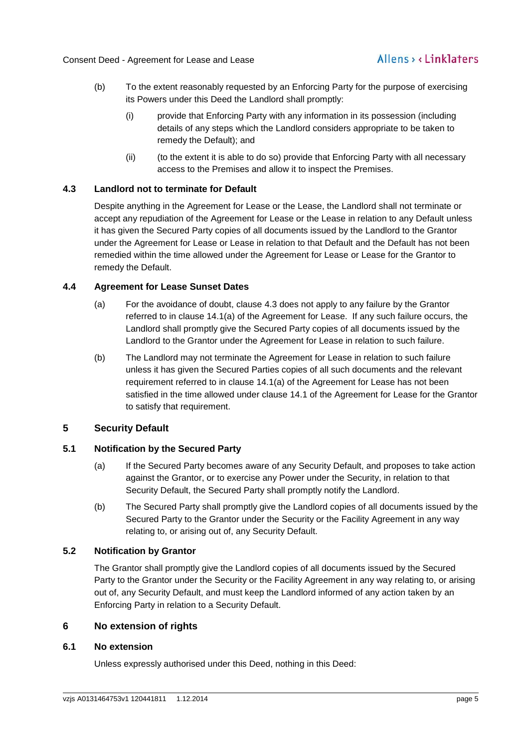- (b) To the extent reasonably requested by an Enforcing Party for the purpose of exercising its Powers under this Deed the Landlord shall promptly:
	- (i) provide that Enforcing Party with any information in its possession (including details of any steps which the Landlord considers appropriate to be taken to remedy the Default); and
	- (ii) (to the extent it is able to do so) provide that Enforcing Party with all necessary access to the Premises and allow it to inspect the Premises.

#### <span id="page-6-0"></span>**4.3 Landlord not to terminate for Default**

Despite anything in the Agreement for Lease or the Lease, the Landlord shall not terminate or accept any repudiation of the Agreement for Lease or the Lease in relation to any Default unless it has given the Secured Party copies of all documents issued by the Landlord to the Grantor under the Agreement for Lease or Lease in relation to that Default and the Default has not been remedied within the time allowed under the Agreement for Lease or Lease for the Grantor to remedy the Default.

#### <span id="page-6-1"></span>**4.4 Agreement for Lease Sunset Dates**

- (a) For the avoidance of doubt, clause 4.3 does not apply to any failure by the Grantor referred to in clause 14.1(a) of the Agreement for Lease. If any such failure occurs, the Landlord shall promptly give the Secured Party copies of all documents issued by the Landlord to the Grantor under the Agreement for Lease in relation to such failure.
- (b) The Landlord may not terminate the Agreement for Lease in relation to such failure unless it has given the Secured Parties copies of all such documents and the relevant requirement referred to in clause 14.1(a) of the Agreement for Lease has not been satisfied in the time allowed under clause 14.1 of the Agreement for Lease for the Grantor to satisfy that requirement.

#### <span id="page-6-2"></span>**5 Security Default**

#### <span id="page-6-3"></span>**5.1 Notification by the Secured Party**

- (a) If the Secured Party becomes aware of any Security Default, and proposes to take action against the Grantor, or to exercise any Power under the Security, in relation to that Security Default, the Secured Party shall promptly notify the Landlord.
- (b) The Secured Party shall promptly give the Landlord copies of all documents issued by the Secured Party to the Grantor under the Security or the Facility Agreement in any way relating to, or arising out of, any Security Default.

#### <span id="page-6-4"></span>**5.2 Notification by Grantor**

The Grantor shall promptly give the Landlord copies of all documents issued by the Secured Party to the Grantor under the Security or the Facility Agreement in any way relating to, or arising out of, any Security Default, and must keep the Landlord informed of any action taken by an Enforcing Party in relation to a Security Default.

#### <span id="page-6-5"></span>**6 No extension of rights**

#### <span id="page-6-6"></span>**6.1 No extension**

Unless expressly authorised under this Deed, nothing in this Deed: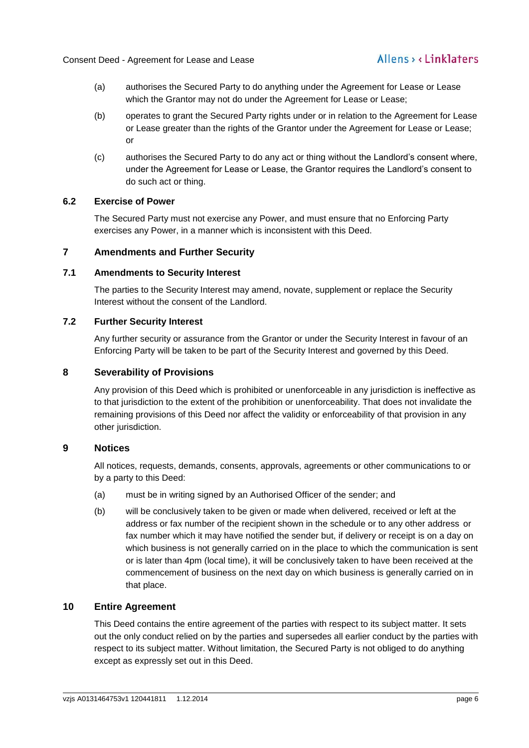- (a) authorises the Secured Party to do anything under the Agreement for Lease or Lease which the Grantor may not do under the Agreement for Lease or Lease;
- (b) operates to grant the Secured Party rights under or in relation to the Agreement for Lease or Lease greater than the rights of the Grantor under the Agreement for Lease or Lease; or
- (c) authorises the Secured Party to do any act or thing without the Landlord's consent where, under the Agreement for Lease or Lease, the Grantor requires the Landlord's consent to do such act or thing.

#### <span id="page-7-0"></span>**6.2 Exercise of Power**

The Secured Party must not exercise any Power, and must ensure that no Enforcing Party exercises any Power, in a manner which is inconsistent with this Deed.

#### <span id="page-7-1"></span>**7 Amendments and Further Security**

#### <span id="page-7-2"></span>**7.1 Amendments to Security Interest**

The parties to the Security Interest may amend, novate, supplement or replace the Security Interest without the consent of the Landlord.

#### <span id="page-7-3"></span>**7.2 Further Security Interest**

Any further security or assurance from the Grantor or under the Security Interest in favour of an Enforcing Party will be taken to be part of the Security Interest and governed by this Deed.

#### <span id="page-7-4"></span>**8 Severability of Provisions**

Any provision of this Deed which is prohibited or unenforceable in any jurisdiction is ineffective as to that jurisdiction to the extent of the prohibition or unenforceability. That does not invalidate the remaining provisions of this Deed nor affect the validity or enforceability of that provision in any other jurisdiction.

#### <span id="page-7-5"></span>**9 Notices**

All notices, requests, demands, consents, approvals, agreements or other communications to or by a party to this Deed:

- (a) must be in writing signed by an Authorised Officer of the sender; and
- (b) will be conclusively taken to be given or made when delivered, received or left at the address or fax number of the recipient shown in the schedule or to any other address or fax number which it may have notified the sender but, if delivery or receipt is on a day on which business is not generally carried on in the place to which the communication is sent or is later than 4pm (local time), it will be conclusively taken to have been received at the commencement of business on the next day on which business is generally carried on in that place.

#### <span id="page-7-6"></span>**10 Entire Agreement**

This Deed contains the entire agreement of the parties with respect to its subject matter. It sets out the only conduct relied on by the parties and supersedes all earlier conduct by the parties with respect to its subject matter. Without limitation, the Secured Party is not obliged to do anything except as expressly set out in this Deed.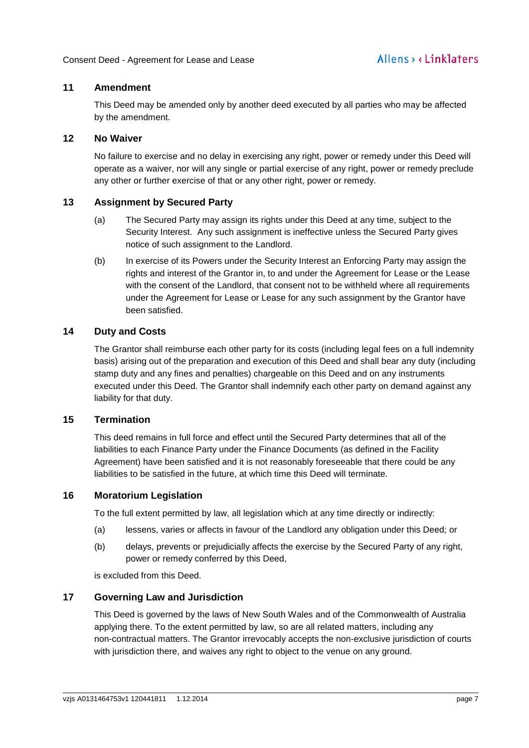#### <span id="page-8-0"></span>**11 Amendment**

This Deed may be amended only by another deed executed by all parties who may be affected by the amendment.

#### <span id="page-8-1"></span>**12 No Waiver**

No failure to exercise and no delay in exercising any right, power or remedy under this Deed will operate as a waiver, nor will any single or partial exercise of any right, power or remedy preclude any other or further exercise of that or any other right, power or remedy.

#### <span id="page-8-2"></span>**13 Assignment by Secured Party**

- (a) The Secured Party may assign its rights under this Deed at any time, subject to the Security Interest. Any such assignment is ineffective unless the Secured Party gives notice of such assignment to the Landlord.
- (b) In exercise of its Powers under the Security Interest an Enforcing Party may assign the rights and interest of the Grantor in, to and under the Agreement for Lease or the Lease with the consent of the Landlord, that consent not to be withheld where all requirements under the Agreement for Lease or Lease for any such assignment by the Grantor have been satisfied.

#### <span id="page-8-3"></span>**14 Duty and Costs**

The Grantor shall reimburse each other party for its costs (including legal fees on a full indemnity basis) arising out of the preparation and execution of this Deed and shall bear any duty (including stamp duty and any fines and penalties) chargeable on this Deed and on any instruments executed under this Deed. The Grantor shall indemnify each other party on demand against any liability for that duty.

#### <span id="page-8-4"></span>**15 Termination**

This deed remains in full force and effect until the Secured Party determines that all of the liabilities to each Finance Party under the Finance Documents (as defined in the Facility Agreement) have been satisfied and it is not reasonably foreseeable that there could be any liabilities to be satisfied in the future, at which time this Deed will terminate.

#### <span id="page-8-5"></span>**16 Moratorium Legislation**

To the full extent permitted by law, all legislation which at any time directly or indirectly:

- (a) lessens, varies or affects in favour of the Landlord any obligation under this Deed; or
- (b) delays, prevents or prejudicially affects the exercise by the Secured Party of any right, power or remedy conferred by this Deed,

is excluded from this Deed.

#### <span id="page-8-6"></span>**17 Governing Law and Jurisdiction**

This Deed is governed by the laws of New South Wales and of the Commonwealth of Australia applying there. To the extent permitted by law, so are all related matters, including any non-contractual matters. The Grantor irrevocably accepts the non-exclusive jurisdiction of courts with jurisdiction there, and waives any right to object to the venue on any ground.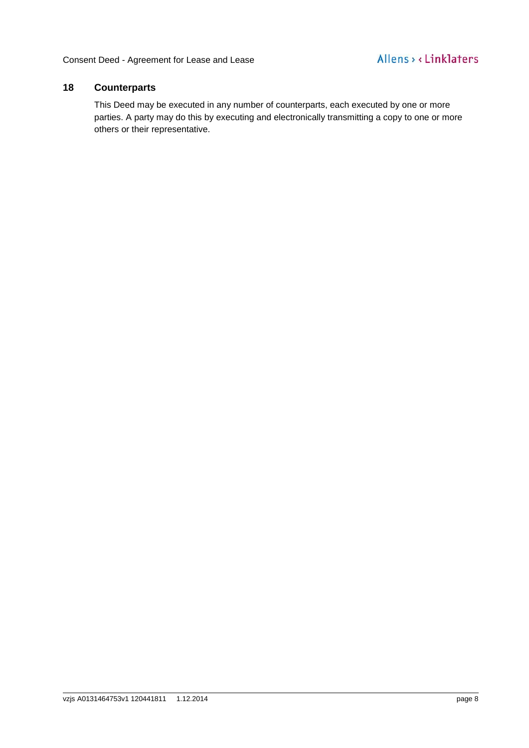#### <span id="page-9-0"></span>**18 Counterparts**

This Deed may be executed in any number of counterparts, each executed by one or more parties. A party may do this by executing and electronically transmitting a copy to one or more others or their representative.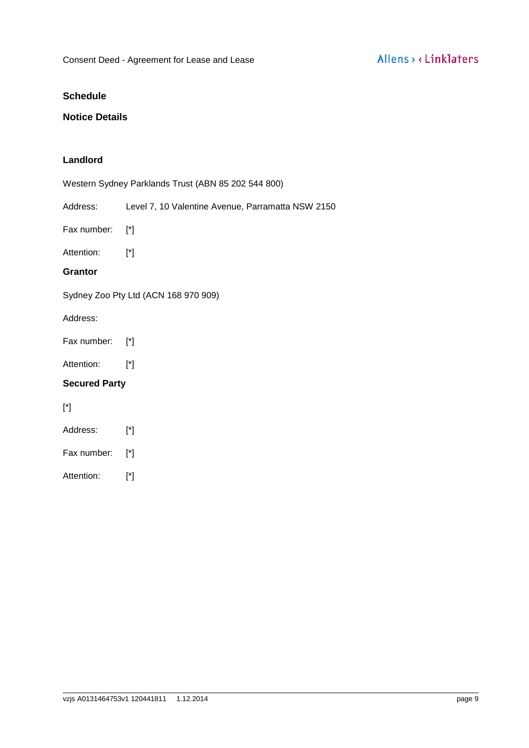#### <span id="page-10-0"></span>**Schedule**

#### <span id="page-10-1"></span>**Notice Details**

#### **Landlord**

Western Sydney Parklands Trust (ABN 85 202 544 800)

Address: Level 7, 10 Valentine Avenue, Parramatta NSW 2150

Fax number: [\*]

Attention: [\*]

#### **Grantor**

Sydney Zoo Pty Ltd (ACN 168 970 909)

#### Address:

Fax number: [\*]

Attention: [\*]

#### **Secured Party**

[\*]

- Address: [\*]
- Fax number: [\*]
- Attention: [\*]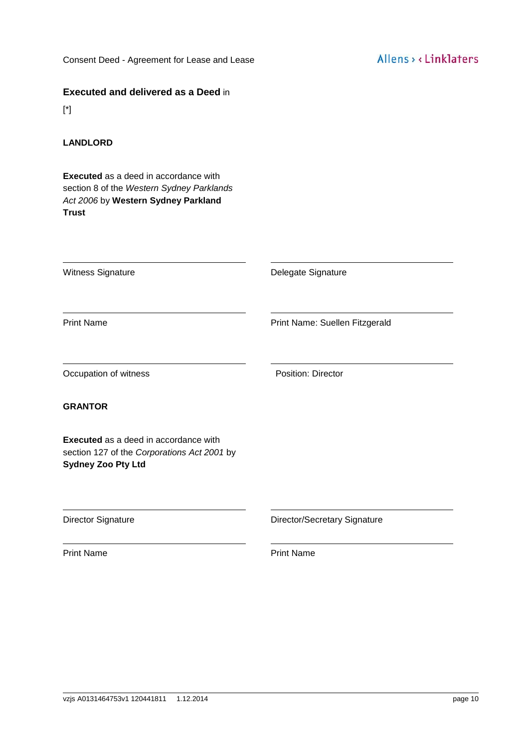[Consent Deed](#page-0-1) - Agreement for Lease and Lease

#### **Executed and delivered as a Deed** in

[\*]

#### **LANDLORD**

**Executed** as a deed in accordance with section 8 of the *Western Sydney Parklands Act 2006* by **Western Sydney Parkland Trust**

Witness Signature **Delegate Signature Delegate Signature** 

Print Name **Print Name:** Suellen Fitzgerald

Occupation of witness **Position:** Position: Director

#### **GRANTOR**

**Executed** as a deed in accordance with section 127 of the *Corporations Act 2001* by **Sydney Zoo Pty Ltd**

Director Signature **Director/Secretary Signature** 

Print Name **Print Name**